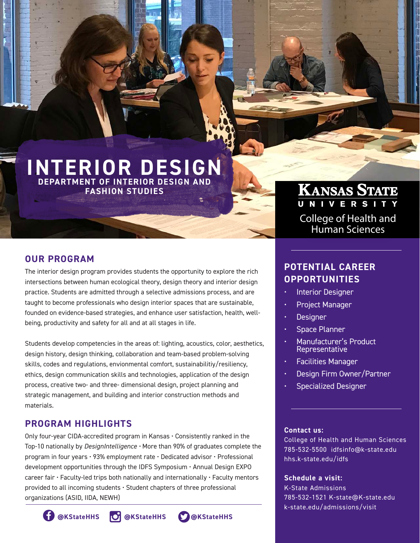# **INTERIOR DESIGN DEPARTMENT OF INTERIOR DESIGN AND**

**FASHION STUDIES**

#### **OUR PROGRAM**

The interior design program provides students the opportunity to explore the rich intersections between human ecological theory, design theory and interior design practice. Students are admitted through a selective admissions process, and are taught to become professionals who design interior spaces that are sustainable, founded on evidence-based strategies, and enhance user satisfaction, health, wellbeing, productivity and safety for all and at all stages in life.

Students develop competencies in the areas of: lighting, acoustics, color, aesthetics, design history, design thinking, collaboration and team-based problem-solving skills, codes and regulations, envionmental comfort, sustainabilitiy/resiliency, ethics, design communication skills and technologies, application of the design process, creative two- and three- dimensional design, project planning and strategic management, and building and interior construction methods and materials.

## **PROGRAM HIGHLIGHTS**

Only four-year CIDA-accredited program in Kansas • Consistently ranked in the Top-10 nationally by *DesignIntelligence •* More than 90% of graduates complete the program in four years • 93% employment rate • Dedicated advisor • Professional development opportunities through the IDFS Symposium • Annual Design EXPO career fair • Faculty-led trips both nationally and internationally • Faculty mentors provided to all incoming students • Student chapters of three professional organizations (ASID, IIDA, NEWH)

# Human Sciences

College of Health and

**KANSAS STATE** 

### **POTENTIAL CAREER OPPORTUNITIES**

- **Interior Designer**
- Project Manager
- **Designer**
- **Space Planner**
- Manufacturer's Product Representative
- Facilities Manager
- Design Firm Owner/Partner
- Specialized Designer

#### **Contact us:**

College of Health and Human Sciences 785-532-5500 idfsinfo@k-state.edu hhs.k-state.edu/idfs

#### **Schedule a visit:**

K-State Admissions 785-532-1521 K-state@K-state.edu k-state.edu/admissions/visit